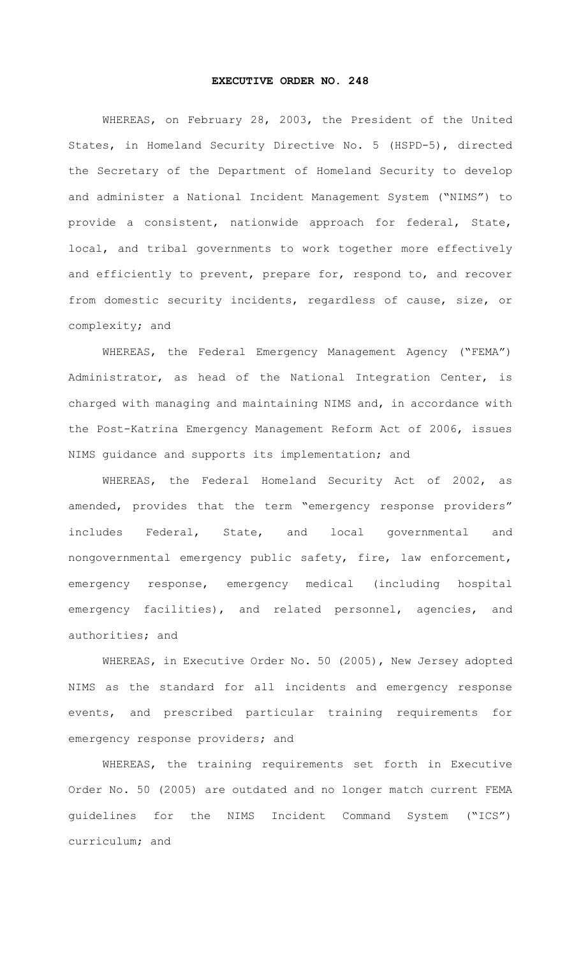## **EXECUTIVE ORDER NO. 248**

WHEREAS, on February 28, 2003, the President of the United States, in Homeland Security Directive No. 5 (HSPD-5), directed the Secretary of the Department of Homeland Security to develop and administer a National Incident Management System ("NIMS") to provide a consistent, nationwide approach for federal, State, local, and tribal governments to work together more effectively and efficiently to prevent, prepare for, respond to, and recover from domestic security incidents, regardless of cause, size, or complexity; and

WHEREAS, the Federal Emergency Management Agency ("FEMA") Administrator, as head of the National Integration Center, is charged with managing and maintaining NIMS and, in accordance with the Post-Katrina Emergency Management Reform Act of 2006, issues NIMS guidance and supports its implementation; and

WHEREAS, the Federal Homeland Security Act of 2002, as amended, provides that the term "emergency response providers" includes Federal, State, and local governmental and nongovernmental emergency public safety, fire, law enforcement, emergency response, emergency medical (including hospital emergency facilities), and related personnel, agencies, and authorities; and

WHEREAS, in Executive Order No. 50 (2005), New Jersey adopted NIMS as the standard for all incidents and emergency response events, and prescribed particular training requirements for emergency response providers; and

WHEREAS, the training requirements set forth in Executive Order No. 50 (2005) are outdated and no longer match current FEMA guidelines for the NIMS Incident Command System ("ICS") curriculum; and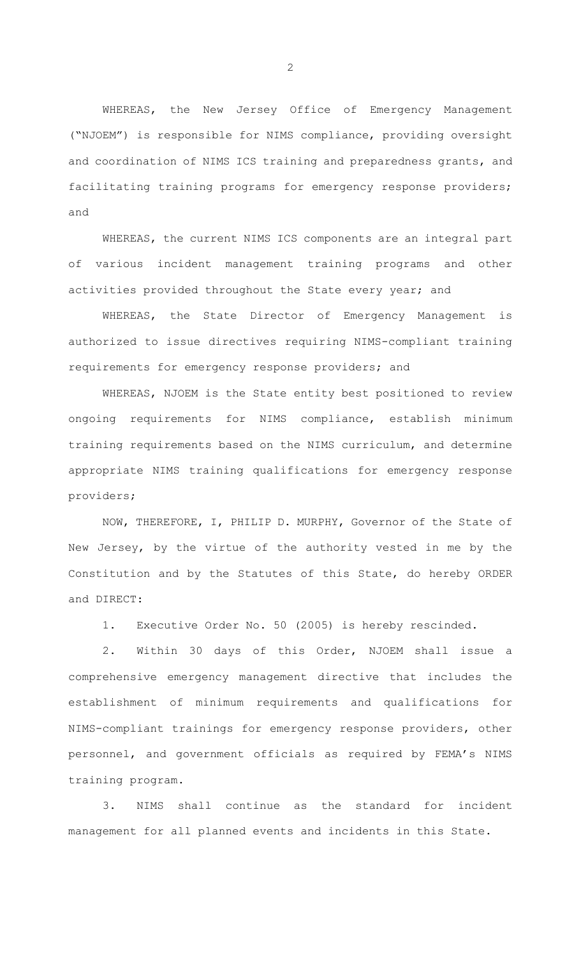WHEREAS, the New Jersey Office of Emergency Management ("NJOEM") is responsible for NIMS compliance, providing oversight and coordination of NIMS ICS training and preparedness grants, and facilitating training programs for emergency response providers; and

WHEREAS, the current NIMS ICS components are an integral part of various incident management training programs and other activities provided throughout the State every year; and

WHEREAS, the State Director of Emergency Management is authorized to issue directives requiring NIMS-compliant training requirements for emergency response providers; and

WHEREAS, NJOEM is the State entity best positioned to review ongoing requirements for NIMS compliance, establish minimum training requirements based on the NIMS curriculum, and determine appropriate NIMS training qualifications for emergency response providers;

NOW, THEREFORE, I, PHILIP D. MURPHY, Governor of the State of New Jersey, by the virtue of the authority vested in me by the Constitution and by the Statutes of this State, do hereby ORDER and DIRECT:

1. Executive Order No. 50 (2005) is hereby rescinded.

2. Within 30 days of this Order, NJOEM shall issue a comprehensive emergency management directive that includes the establishment of minimum requirements and qualifications for NIMS-compliant trainings for emergency response providers, other personnel, and government officials as required by FEMA's NIMS training program.

3. NIMS shall continue as the standard for incident management for all planned events and incidents in this State.

2